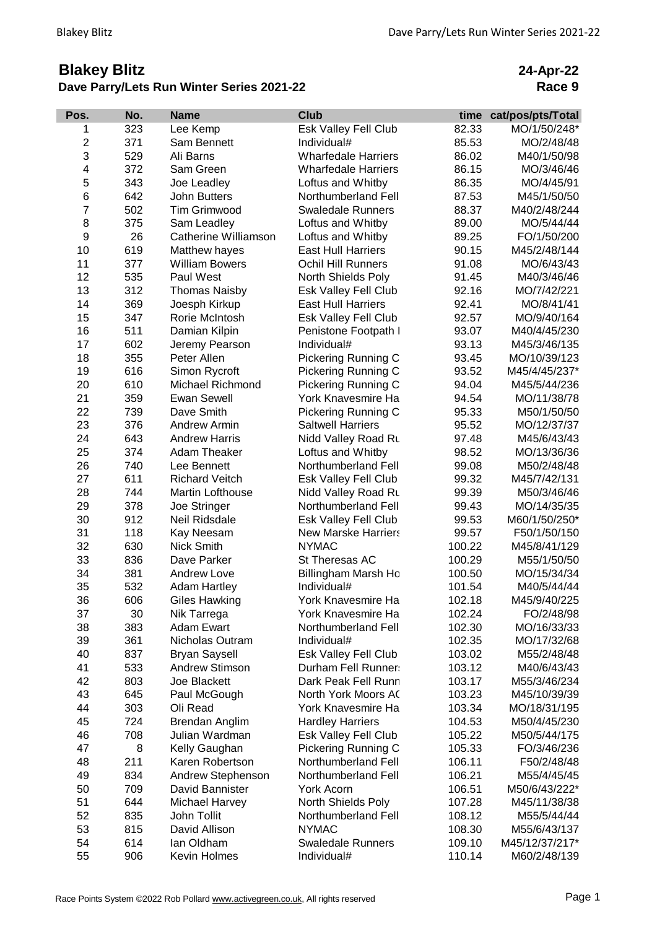## **Blakey Blitz Dave Parry/Lets Run Winter Series 2021-22**

**24-Apr-22 Race 9**

| 323<br>82.33<br>Lee Kemp<br>Esk Valley Fell Club<br>MO/1/50/248*<br>1<br>$\overline{c}$<br>371<br>Individual#<br>Sam Bennett<br>85.53<br>MO/2/48/48<br>3<br>529<br>Ali Barns<br><b>Wharfedale Harriers</b><br>86.02<br>M40/1/50/98<br>4<br>372<br>Sam Green<br><b>Wharfedale Harriers</b><br>86.15<br>MO/3/46/46<br>5<br>343<br>Joe Leadley<br>Loftus and Whitby<br>86.35<br>MO/4/45/91<br>6<br>642<br><b>John Butters</b><br>Northumberland Fell<br>87.53<br>M45/1/50/50<br>$\overline{7}$<br>502<br><b>Tim Grimwood</b><br>88.37<br><b>Swaledale Runners</b><br>M40/2/48/244<br>8<br>375<br>89.00<br>Sam Leadley<br>Loftus and Whitby<br>MO/5/44/44<br>$\boldsymbol{9}$<br>26<br>Catherine Williamson<br>Loftus and Whitby<br>89.25<br>FO/1/50/200<br>10<br>619<br><b>East Hull Harriers</b><br>90.15<br>Matthew hayes<br>M45/2/48/144<br>377<br>11<br><b>William Bowers</b><br><b>Ochil Hill Runners</b><br>91.08<br>MO/6/43/43<br>535<br>12<br>Paul West<br>North Shields Poly<br>M40/3/46/46<br>91.45<br>13<br>312<br><b>Thomas Naisby</b><br>Esk Valley Fell Club<br>92.16<br>MO/7/42/221<br>14<br>369<br>92.41<br>Joesph Kirkup<br><b>East Hull Harriers</b><br>MO/8/41/41<br>15<br>347<br>Rorie McIntosh<br>Esk Valley Fell Club<br>92.57<br>MO/9/40/164<br>16<br>511<br>Damian Kilpin<br>Penistone Footpath I<br>93.07<br>M40/4/45/230<br>17<br>602<br>Jeremy Pearson<br>Individual#<br>93.13<br>M45/3/46/135<br>18<br>355<br><b>Pickering Running C</b><br>Peter Allen<br>93.45<br>MO/10/39/123<br>19<br>616<br>Pickering Running C<br>Simon Rycroft<br>93.52<br>M45/4/45/237*<br>20<br>610<br>Pickering Running C<br>Michael Richmond<br>94.04<br>M45/5/44/236<br>21<br>359<br><b>Ewan Sewell</b><br>York Knavesmire Ha<br>94.54<br>MO/11/38/78<br>22<br>739<br>Dave Smith<br><b>Pickering Running C</b><br>95.33<br>M50/1/50/50<br>23<br>376<br>Andrew Armin<br><b>Saltwell Harriers</b><br>95.52<br>MO/12/37/37<br>24<br>643<br>Nidd Valley Road Ru<br><b>Andrew Harris</b><br>97.48<br>M45/6/43/43<br>25<br>374<br>Adam Theaker<br>Loftus and Whitby<br>98.52<br>MO/13/36/36<br>26<br>740<br>Northumberland Fell<br>99.08<br>Lee Bennett<br>M50/2/48/48<br>27<br>611<br><b>Richard Veitch</b><br>Esk Valley Fell Club<br>99.32<br>M45/7/42/131<br>28<br>744<br>Martin Lofthouse<br>Nidd Valley Road Ru<br>99.39<br>M50/3/46/46<br>29<br>378<br>Joe Stringer<br>Northumberland Fell<br>99.43<br>MO/14/35/35<br>30<br>912<br>Neil Ridsdale<br>Esk Valley Fell Club<br>99.53<br>M60/1/50/250*<br>118<br>31<br>Kay Neesam<br><b>New Marske Harriers</b><br>99.57<br>F50/1/50/150<br>32<br>630<br><b>Nick Smith</b><br><b>NYMAC</b><br>100.22<br>M45/8/41/129<br>33<br>836<br>Dave Parker<br>St Theresas AC<br>100.29<br>M55/1/50/50<br>34<br>381<br><b>Andrew Love</b><br>Billingham Marsh Ho<br>100.50<br>MO/15/34/34<br>532<br>35<br>Individual#<br><b>Adam Hartley</b><br>101.54<br>M40/5/44/44<br>36<br>606<br>York Knavesmire Ha<br>102.18<br>M45/9/40/225<br>Giles Hawking<br>37<br>30<br>York Knavesmire Ha<br>102.24<br>FO/2/48/98<br>Nik Tarrega<br>38<br>383<br><b>Adam Ewart</b><br>Northumberland Fell<br>102.30<br>MO/16/33/33<br>39<br>361<br>Nicholas Outram<br>Individual#<br>MO/17/32/68<br>102.35<br>40<br>837<br>Esk Valley Fell Club<br><b>Bryan Saysell</b><br>103.02<br>M55/2/48/48<br>41<br>533<br><b>Andrew Stimson</b><br>Durham Fell Runner:<br>103.12<br>M40/6/43/43<br>42<br>803<br>Joe Blackett<br>Dark Peak Fell Runn<br>103.17<br>M55/3/46/234<br>43<br>645<br>North York Moors AC<br>103.23<br>Paul McGough<br>M45/10/39/39<br>44<br>303<br>Oli Read<br>York Knavesmire Ha<br>103.34<br>MO/18/31/195<br>45<br>724<br><b>Hardley Harriers</b><br>104.53<br>Brendan Anglim<br>M50/4/45/230<br>46<br>708<br>Julian Wardman<br>Esk Valley Fell Club<br>105.22<br>M50/5/44/175<br>47<br>8<br>Kelly Gaughan<br>Pickering Running C<br>105.33<br>FO/3/46/236<br>48<br>211<br>Karen Robertson<br>Northumberland Fell<br>106.11<br>F50/2/48/48<br>49<br>834<br>Andrew Stephenson<br>Northumberland Fell<br>106.21<br>M55/4/45/45<br>50<br>709<br>David Bannister<br>106.51<br>York Acorn<br>M50/6/43/222*<br>51<br>644<br>Michael Harvey<br>North Shields Poly<br>107.28<br>M45/11/38/38<br>52<br>835<br>John Tollit<br>Northumberland Fell<br>108.12<br>M55/5/44/44<br>53<br><b>NYMAC</b><br>815<br>David Allison<br>108.30<br>M55/6/43/137<br>54<br>614<br>lan Oldham<br><b>Swaledale Runners</b><br>M45/12/37/217*<br>109.10 | Pos. | No. | <b>Name</b>  | <b>Club</b> | time   | cat/pos/pts/Total |
|------------------------------------------------------------------------------------------------------------------------------------------------------------------------------------------------------------------------------------------------------------------------------------------------------------------------------------------------------------------------------------------------------------------------------------------------------------------------------------------------------------------------------------------------------------------------------------------------------------------------------------------------------------------------------------------------------------------------------------------------------------------------------------------------------------------------------------------------------------------------------------------------------------------------------------------------------------------------------------------------------------------------------------------------------------------------------------------------------------------------------------------------------------------------------------------------------------------------------------------------------------------------------------------------------------------------------------------------------------------------------------------------------------------------------------------------------------------------------------------------------------------------------------------------------------------------------------------------------------------------------------------------------------------------------------------------------------------------------------------------------------------------------------------------------------------------------------------------------------------------------------------------------------------------------------------------------------------------------------------------------------------------------------------------------------------------------------------------------------------------------------------------------------------------------------------------------------------------------------------------------------------------------------------------------------------------------------------------------------------------------------------------------------------------------------------------------------------------------------------------------------------------------------------------------------------------------------------------------------------------------------------------------------------------------------------------------------------------------------------------------------------------------------------------------------------------------------------------------------------------------------------------------------------------------------------------------------------------------------------------------------------------------------------------------------------------------------------------------------------------------------------------------------------------------------------------------------------------------------------------------------------------------------------------------------------------------------------------------------------------------------------------------------------------------------------------------------------------------------------------------------------------------------------------------------------------------------------------------------------------------------------------------------------------------------------------------------------------------------------------------------------------------------------------------------------------------------------------------------------------------------------------------------------------------------------------------------------------------------------------------------------------------------------------------------------------------------------------------------------------------------------------------------------------------------------------------------------------------------------------------------------------------------------------------------------------------------------------------------------------------------------------------------------------------------------------------------------|------|-----|--------------|-------------|--------|-------------------|
|                                                                                                                                                                                                                                                                                                                                                                                                                                                                                                                                                                                                                                                                                                                                                                                                                                                                                                                                                                                                                                                                                                                                                                                                                                                                                                                                                                                                                                                                                                                                                                                                                                                                                                                                                                                                                                                                                                                                                                                                                                                                                                                                                                                                                                                                                                                                                                                                                                                                                                                                                                                                                                                                                                                                                                                                                                                                                                                                                                                                                                                                                                                                                                                                                                                                                                                                                                                                                                                                                                                                                                                                                                                                                                                                                                                                                                                                                                                                                                                                                                                                                                                                                                                                                                                                                                                                                                                                                                                                  |      |     |              |             |        |                   |
|                                                                                                                                                                                                                                                                                                                                                                                                                                                                                                                                                                                                                                                                                                                                                                                                                                                                                                                                                                                                                                                                                                                                                                                                                                                                                                                                                                                                                                                                                                                                                                                                                                                                                                                                                                                                                                                                                                                                                                                                                                                                                                                                                                                                                                                                                                                                                                                                                                                                                                                                                                                                                                                                                                                                                                                                                                                                                                                                                                                                                                                                                                                                                                                                                                                                                                                                                                                                                                                                                                                                                                                                                                                                                                                                                                                                                                                                                                                                                                                                                                                                                                                                                                                                                                                                                                                                                                                                                                                                  |      |     |              |             |        |                   |
|                                                                                                                                                                                                                                                                                                                                                                                                                                                                                                                                                                                                                                                                                                                                                                                                                                                                                                                                                                                                                                                                                                                                                                                                                                                                                                                                                                                                                                                                                                                                                                                                                                                                                                                                                                                                                                                                                                                                                                                                                                                                                                                                                                                                                                                                                                                                                                                                                                                                                                                                                                                                                                                                                                                                                                                                                                                                                                                                                                                                                                                                                                                                                                                                                                                                                                                                                                                                                                                                                                                                                                                                                                                                                                                                                                                                                                                                                                                                                                                                                                                                                                                                                                                                                                                                                                                                                                                                                                                                  |      |     |              |             |        |                   |
|                                                                                                                                                                                                                                                                                                                                                                                                                                                                                                                                                                                                                                                                                                                                                                                                                                                                                                                                                                                                                                                                                                                                                                                                                                                                                                                                                                                                                                                                                                                                                                                                                                                                                                                                                                                                                                                                                                                                                                                                                                                                                                                                                                                                                                                                                                                                                                                                                                                                                                                                                                                                                                                                                                                                                                                                                                                                                                                                                                                                                                                                                                                                                                                                                                                                                                                                                                                                                                                                                                                                                                                                                                                                                                                                                                                                                                                                                                                                                                                                                                                                                                                                                                                                                                                                                                                                                                                                                                                                  |      |     |              |             |        |                   |
|                                                                                                                                                                                                                                                                                                                                                                                                                                                                                                                                                                                                                                                                                                                                                                                                                                                                                                                                                                                                                                                                                                                                                                                                                                                                                                                                                                                                                                                                                                                                                                                                                                                                                                                                                                                                                                                                                                                                                                                                                                                                                                                                                                                                                                                                                                                                                                                                                                                                                                                                                                                                                                                                                                                                                                                                                                                                                                                                                                                                                                                                                                                                                                                                                                                                                                                                                                                                                                                                                                                                                                                                                                                                                                                                                                                                                                                                                                                                                                                                                                                                                                                                                                                                                                                                                                                                                                                                                                                                  |      |     |              |             |        |                   |
|                                                                                                                                                                                                                                                                                                                                                                                                                                                                                                                                                                                                                                                                                                                                                                                                                                                                                                                                                                                                                                                                                                                                                                                                                                                                                                                                                                                                                                                                                                                                                                                                                                                                                                                                                                                                                                                                                                                                                                                                                                                                                                                                                                                                                                                                                                                                                                                                                                                                                                                                                                                                                                                                                                                                                                                                                                                                                                                                                                                                                                                                                                                                                                                                                                                                                                                                                                                                                                                                                                                                                                                                                                                                                                                                                                                                                                                                                                                                                                                                                                                                                                                                                                                                                                                                                                                                                                                                                                                                  |      |     |              |             |        |                   |
|                                                                                                                                                                                                                                                                                                                                                                                                                                                                                                                                                                                                                                                                                                                                                                                                                                                                                                                                                                                                                                                                                                                                                                                                                                                                                                                                                                                                                                                                                                                                                                                                                                                                                                                                                                                                                                                                                                                                                                                                                                                                                                                                                                                                                                                                                                                                                                                                                                                                                                                                                                                                                                                                                                                                                                                                                                                                                                                                                                                                                                                                                                                                                                                                                                                                                                                                                                                                                                                                                                                                                                                                                                                                                                                                                                                                                                                                                                                                                                                                                                                                                                                                                                                                                                                                                                                                                                                                                                                                  |      |     |              |             |        |                   |
|                                                                                                                                                                                                                                                                                                                                                                                                                                                                                                                                                                                                                                                                                                                                                                                                                                                                                                                                                                                                                                                                                                                                                                                                                                                                                                                                                                                                                                                                                                                                                                                                                                                                                                                                                                                                                                                                                                                                                                                                                                                                                                                                                                                                                                                                                                                                                                                                                                                                                                                                                                                                                                                                                                                                                                                                                                                                                                                                                                                                                                                                                                                                                                                                                                                                                                                                                                                                                                                                                                                                                                                                                                                                                                                                                                                                                                                                                                                                                                                                                                                                                                                                                                                                                                                                                                                                                                                                                                                                  |      |     |              |             |        |                   |
|                                                                                                                                                                                                                                                                                                                                                                                                                                                                                                                                                                                                                                                                                                                                                                                                                                                                                                                                                                                                                                                                                                                                                                                                                                                                                                                                                                                                                                                                                                                                                                                                                                                                                                                                                                                                                                                                                                                                                                                                                                                                                                                                                                                                                                                                                                                                                                                                                                                                                                                                                                                                                                                                                                                                                                                                                                                                                                                                                                                                                                                                                                                                                                                                                                                                                                                                                                                                                                                                                                                                                                                                                                                                                                                                                                                                                                                                                                                                                                                                                                                                                                                                                                                                                                                                                                                                                                                                                                                                  |      |     |              |             |        |                   |
|                                                                                                                                                                                                                                                                                                                                                                                                                                                                                                                                                                                                                                                                                                                                                                                                                                                                                                                                                                                                                                                                                                                                                                                                                                                                                                                                                                                                                                                                                                                                                                                                                                                                                                                                                                                                                                                                                                                                                                                                                                                                                                                                                                                                                                                                                                                                                                                                                                                                                                                                                                                                                                                                                                                                                                                                                                                                                                                                                                                                                                                                                                                                                                                                                                                                                                                                                                                                                                                                                                                                                                                                                                                                                                                                                                                                                                                                                                                                                                                                                                                                                                                                                                                                                                                                                                                                                                                                                                                                  |      |     |              |             |        |                   |
|                                                                                                                                                                                                                                                                                                                                                                                                                                                                                                                                                                                                                                                                                                                                                                                                                                                                                                                                                                                                                                                                                                                                                                                                                                                                                                                                                                                                                                                                                                                                                                                                                                                                                                                                                                                                                                                                                                                                                                                                                                                                                                                                                                                                                                                                                                                                                                                                                                                                                                                                                                                                                                                                                                                                                                                                                                                                                                                                                                                                                                                                                                                                                                                                                                                                                                                                                                                                                                                                                                                                                                                                                                                                                                                                                                                                                                                                                                                                                                                                                                                                                                                                                                                                                                                                                                                                                                                                                                                                  |      |     |              |             |        |                   |
|                                                                                                                                                                                                                                                                                                                                                                                                                                                                                                                                                                                                                                                                                                                                                                                                                                                                                                                                                                                                                                                                                                                                                                                                                                                                                                                                                                                                                                                                                                                                                                                                                                                                                                                                                                                                                                                                                                                                                                                                                                                                                                                                                                                                                                                                                                                                                                                                                                                                                                                                                                                                                                                                                                                                                                                                                                                                                                                                                                                                                                                                                                                                                                                                                                                                                                                                                                                                                                                                                                                                                                                                                                                                                                                                                                                                                                                                                                                                                                                                                                                                                                                                                                                                                                                                                                                                                                                                                                                                  |      |     |              |             |        |                   |
|                                                                                                                                                                                                                                                                                                                                                                                                                                                                                                                                                                                                                                                                                                                                                                                                                                                                                                                                                                                                                                                                                                                                                                                                                                                                                                                                                                                                                                                                                                                                                                                                                                                                                                                                                                                                                                                                                                                                                                                                                                                                                                                                                                                                                                                                                                                                                                                                                                                                                                                                                                                                                                                                                                                                                                                                                                                                                                                                                                                                                                                                                                                                                                                                                                                                                                                                                                                                                                                                                                                                                                                                                                                                                                                                                                                                                                                                                                                                                                                                                                                                                                                                                                                                                                                                                                                                                                                                                                                                  |      |     |              |             |        |                   |
|                                                                                                                                                                                                                                                                                                                                                                                                                                                                                                                                                                                                                                                                                                                                                                                                                                                                                                                                                                                                                                                                                                                                                                                                                                                                                                                                                                                                                                                                                                                                                                                                                                                                                                                                                                                                                                                                                                                                                                                                                                                                                                                                                                                                                                                                                                                                                                                                                                                                                                                                                                                                                                                                                                                                                                                                                                                                                                                                                                                                                                                                                                                                                                                                                                                                                                                                                                                                                                                                                                                                                                                                                                                                                                                                                                                                                                                                                                                                                                                                                                                                                                                                                                                                                                                                                                                                                                                                                                                                  |      |     |              |             |        |                   |
|                                                                                                                                                                                                                                                                                                                                                                                                                                                                                                                                                                                                                                                                                                                                                                                                                                                                                                                                                                                                                                                                                                                                                                                                                                                                                                                                                                                                                                                                                                                                                                                                                                                                                                                                                                                                                                                                                                                                                                                                                                                                                                                                                                                                                                                                                                                                                                                                                                                                                                                                                                                                                                                                                                                                                                                                                                                                                                                                                                                                                                                                                                                                                                                                                                                                                                                                                                                                                                                                                                                                                                                                                                                                                                                                                                                                                                                                                                                                                                                                                                                                                                                                                                                                                                                                                                                                                                                                                                                                  |      |     |              |             |        |                   |
|                                                                                                                                                                                                                                                                                                                                                                                                                                                                                                                                                                                                                                                                                                                                                                                                                                                                                                                                                                                                                                                                                                                                                                                                                                                                                                                                                                                                                                                                                                                                                                                                                                                                                                                                                                                                                                                                                                                                                                                                                                                                                                                                                                                                                                                                                                                                                                                                                                                                                                                                                                                                                                                                                                                                                                                                                                                                                                                                                                                                                                                                                                                                                                                                                                                                                                                                                                                                                                                                                                                                                                                                                                                                                                                                                                                                                                                                                                                                                                                                                                                                                                                                                                                                                                                                                                                                                                                                                                                                  |      |     |              |             |        |                   |
|                                                                                                                                                                                                                                                                                                                                                                                                                                                                                                                                                                                                                                                                                                                                                                                                                                                                                                                                                                                                                                                                                                                                                                                                                                                                                                                                                                                                                                                                                                                                                                                                                                                                                                                                                                                                                                                                                                                                                                                                                                                                                                                                                                                                                                                                                                                                                                                                                                                                                                                                                                                                                                                                                                                                                                                                                                                                                                                                                                                                                                                                                                                                                                                                                                                                                                                                                                                                                                                                                                                                                                                                                                                                                                                                                                                                                                                                                                                                                                                                                                                                                                                                                                                                                                                                                                                                                                                                                                                                  |      |     |              |             |        |                   |
|                                                                                                                                                                                                                                                                                                                                                                                                                                                                                                                                                                                                                                                                                                                                                                                                                                                                                                                                                                                                                                                                                                                                                                                                                                                                                                                                                                                                                                                                                                                                                                                                                                                                                                                                                                                                                                                                                                                                                                                                                                                                                                                                                                                                                                                                                                                                                                                                                                                                                                                                                                                                                                                                                                                                                                                                                                                                                                                                                                                                                                                                                                                                                                                                                                                                                                                                                                                                                                                                                                                                                                                                                                                                                                                                                                                                                                                                                                                                                                                                                                                                                                                                                                                                                                                                                                                                                                                                                                                                  |      |     |              |             |        |                   |
|                                                                                                                                                                                                                                                                                                                                                                                                                                                                                                                                                                                                                                                                                                                                                                                                                                                                                                                                                                                                                                                                                                                                                                                                                                                                                                                                                                                                                                                                                                                                                                                                                                                                                                                                                                                                                                                                                                                                                                                                                                                                                                                                                                                                                                                                                                                                                                                                                                                                                                                                                                                                                                                                                                                                                                                                                                                                                                                                                                                                                                                                                                                                                                                                                                                                                                                                                                                                                                                                                                                                                                                                                                                                                                                                                                                                                                                                                                                                                                                                                                                                                                                                                                                                                                                                                                                                                                                                                                                                  |      |     |              |             |        |                   |
|                                                                                                                                                                                                                                                                                                                                                                                                                                                                                                                                                                                                                                                                                                                                                                                                                                                                                                                                                                                                                                                                                                                                                                                                                                                                                                                                                                                                                                                                                                                                                                                                                                                                                                                                                                                                                                                                                                                                                                                                                                                                                                                                                                                                                                                                                                                                                                                                                                                                                                                                                                                                                                                                                                                                                                                                                                                                                                                                                                                                                                                                                                                                                                                                                                                                                                                                                                                                                                                                                                                                                                                                                                                                                                                                                                                                                                                                                                                                                                                                                                                                                                                                                                                                                                                                                                                                                                                                                                                                  |      |     |              |             |        |                   |
|                                                                                                                                                                                                                                                                                                                                                                                                                                                                                                                                                                                                                                                                                                                                                                                                                                                                                                                                                                                                                                                                                                                                                                                                                                                                                                                                                                                                                                                                                                                                                                                                                                                                                                                                                                                                                                                                                                                                                                                                                                                                                                                                                                                                                                                                                                                                                                                                                                                                                                                                                                                                                                                                                                                                                                                                                                                                                                                                                                                                                                                                                                                                                                                                                                                                                                                                                                                                                                                                                                                                                                                                                                                                                                                                                                                                                                                                                                                                                                                                                                                                                                                                                                                                                                                                                                                                                                                                                                                                  |      |     |              |             |        |                   |
|                                                                                                                                                                                                                                                                                                                                                                                                                                                                                                                                                                                                                                                                                                                                                                                                                                                                                                                                                                                                                                                                                                                                                                                                                                                                                                                                                                                                                                                                                                                                                                                                                                                                                                                                                                                                                                                                                                                                                                                                                                                                                                                                                                                                                                                                                                                                                                                                                                                                                                                                                                                                                                                                                                                                                                                                                                                                                                                                                                                                                                                                                                                                                                                                                                                                                                                                                                                                                                                                                                                                                                                                                                                                                                                                                                                                                                                                                                                                                                                                                                                                                                                                                                                                                                                                                                                                                                                                                                                                  |      |     |              |             |        |                   |
|                                                                                                                                                                                                                                                                                                                                                                                                                                                                                                                                                                                                                                                                                                                                                                                                                                                                                                                                                                                                                                                                                                                                                                                                                                                                                                                                                                                                                                                                                                                                                                                                                                                                                                                                                                                                                                                                                                                                                                                                                                                                                                                                                                                                                                                                                                                                                                                                                                                                                                                                                                                                                                                                                                                                                                                                                                                                                                                                                                                                                                                                                                                                                                                                                                                                                                                                                                                                                                                                                                                                                                                                                                                                                                                                                                                                                                                                                                                                                                                                                                                                                                                                                                                                                                                                                                                                                                                                                                                                  |      |     |              |             |        |                   |
|                                                                                                                                                                                                                                                                                                                                                                                                                                                                                                                                                                                                                                                                                                                                                                                                                                                                                                                                                                                                                                                                                                                                                                                                                                                                                                                                                                                                                                                                                                                                                                                                                                                                                                                                                                                                                                                                                                                                                                                                                                                                                                                                                                                                                                                                                                                                                                                                                                                                                                                                                                                                                                                                                                                                                                                                                                                                                                                                                                                                                                                                                                                                                                                                                                                                                                                                                                                                                                                                                                                                                                                                                                                                                                                                                                                                                                                                                                                                                                                                                                                                                                                                                                                                                                                                                                                                                                                                                                                                  |      |     |              |             |        |                   |
|                                                                                                                                                                                                                                                                                                                                                                                                                                                                                                                                                                                                                                                                                                                                                                                                                                                                                                                                                                                                                                                                                                                                                                                                                                                                                                                                                                                                                                                                                                                                                                                                                                                                                                                                                                                                                                                                                                                                                                                                                                                                                                                                                                                                                                                                                                                                                                                                                                                                                                                                                                                                                                                                                                                                                                                                                                                                                                                                                                                                                                                                                                                                                                                                                                                                                                                                                                                                                                                                                                                                                                                                                                                                                                                                                                                                                                                                                                                                                                                                                                                                                                                                                                                                                                                                                                                                                                                                                                                                  |      |     |              |             |        |                   |
|                                                                                                                                                                                                                                                                                                                                                                                                                                                                                                                                                                                                                                                                                                                                                                                                                                                                                                                                                                                                                                                                                                                                                                                                                                                                                                                                                                                                                                                                                                                                                                                                                                                                                                                                                                                                                                                                                                                                                                                                                                                                                                                                                                                                                                                                                                                                                                                                                                                                                                                                                                                                                                                                                                                                                                                                                                                                                                                                                                                                                                                                                                                                                                                                                                                                                                                                                                                                                                                                                                                                                                                                                                                                                                                                                                                                                                                                                                                                                                                                                                                                                                                                                                                                                                                                                                                                                                                                                                                                  |      |     |              |             |        |                   |
|                                                                                                                                                                                                                                                                                                                                                                                                                                                                                                                                                                                                                                                                                                                                                                                                                                                                                                                                                                                                                                                                                                                                                                                                                                                                                                                                                                                                                                                                                                                                                                                                                                                                                                                                                                                                                                                                                                                                                                                                                                                                                                                                                                                                                                                                                                                                                                                                                                                                                                                                                                                                                                                                                                                                                                                                                                                                                                                                                                                                                                                                                                                                                                                                                                                                                                                                                                                                                                                                                                                                                                                                                                                                                                                                                                                                                                                                                                                                                                                                                                                                                                                                                                                                                                                                                                                                                                                                                                                                  |      |     |              |             |        |                   |
|                                                                                                                                                                                                                                                                                                                                                                                                                                                                                                                                                                                                                                                                                                                                                                                                                                                                                                                                                                                                                                                                                                                                                                                                                                                                                                                                                                                                                                                                                                                                                                                                                                                                                                                                                                                                                                                                                                                                                                                                                                                                                                                                                                                                                                                                                                                                                                                                                                                                                                                                                                                                                                                                                                                                                                                                                                                                                                                                                                                                                                                                                                                                                                                                                                                                                                                                                                                                                                                                                                                                                                                                                                                                                                                                                                                                                                                                                                                                                                                                                                                                                                                                                                                                                                                                                                                                                                                                                                                                  |      |     |              |             |        |                   |
|                                                                                                                                                                                                                                                                                                                                                                                                                                                                                                                                                                                                                                                                                                                                                                                                                                                                                                                                                                                                                                                                                                                                                                                                                                                                                                                                                                                                                                                                                                                                                                                                                                                                                                                                                                                                                                                                                                                                                                                                                                                                                                                                                                                                                                                                                                                                                                                                                                                                                                                                                                                                                                                                                                                                                                                                                                                                                                                                                                                                                                                                                                                                                                                                                                                                                                                                                                                                                                                                                                                                                                                                                                                                                                                                                                                                                                                                                                                                                                                                                                                                                                                                                                                                                                                                                                                                                                                                                                                                  |      |     |              |             |        |                   |
|                                                                                                                                                                                                                                                                                                                                                                                                                                                                                                                                                                                                                                                                                                                                                                                                                                                                                                                                                                                                                                                                                                                                                                                                                                                                                                                                                                                                                                                                                                                                                                                                                                                                                                                                                                                                                                                                                                                                                                                                                                                                                                                                                                                                                                                                                                                                                                                                                                                                                                                                                                                                                                                                                                                                                                                                                                                                                                                                                                                                                                                                                                                                                                                                                                                                                                                                                                                                                                                                                                                                                                                                                                                                                                                                                                                                                                                                                                                                                                                                                                                                                                                                                                                                                                                                                                                                                                                                                                                                  |      |     |              |             |        |                   |
|                                                                                                                                                                                                                                                                                                                                                                                                                                                                                                                                                                                                                                                                                                                                                                                                                                                                                                                                                                                                                                                                                                                                                                                                                                                                                                                                                                                                                                                                                                                                                                                                                                                                                                                                                                                                                                                                                                                                                                                                                                                                                                                                                                                                                                                                                                                                                                                                                                                                                                                                                                                                                                                                                                                                                                                                                                                                                                                                                                                                                                                                                                                                                                                                                                                                                                                                                                                                                                                                                                                                                                                                                                                                                                                                                                                                                                                                                                                                                                                                                                                                                                                                                                                                                                                                                                                                                                                                                                                                  |      |     |              |             |        |                   |
|                                                                                                                                                                                                                                                                                                                                                                                                                                                                                                                                                                                                                                                                                                                                                                                                                                                                                                                                                                                                                                                                                                                                                                                                                                                                                                                                                                                                                                                                                                                                                                                                                                                                                                                                                                                                                                                                                                                                                                                                                                                                                                                                                                                                                                                                                                                                                                                                                                                                                                                                                                                                                                                                                                                                                                                                                                                                                                                                                                                                                                                                                                                                                                                                                                                                                                                                                                                                                                                                                                                                                                                                                                                                                                                                                                                                                                                                                                                                                                                                                                                                                                                                                                                                                                                                                                                                                                                                                                                                  |      |     |              |             |        |                   |
|                                                                                                                                                                                                                                                                                                                                                                                                                                                                                                                                                                                                                                                                                                                                                                                                                                                                                                                                                                                                                                                                                                                                                                                                                                                                                                                                                                                                                                                                                                                                                                                                                                                                                                                                                                                                                                                                                                                                                                                                                                                                                                                                                                                                                                                                                                                                                                                                                                                                                                                                                                                                                                                                                                                                                                                                                                                                                                                                                                                                                                                                                                                                                                                                                                                                                                                                                                                                                                                                                                                                                                                                                                                                                                                                                                                                                                                                                                                                                                                                                                                                                                                                                                                                                                                                                                                                                                                                                                                                  |      |     |              |             |        |                   |
|                                                                                                                                                                                                                                                                                                                                                                                                                                                                                                                                                                                                                                                                                                                                                                                                                                                                                                                                                                                                                                                                                                                                                                                                                                                                                                                                                                                                                                                                                                                                                                                                                                                                                                                                                                                                                                                                                                                                                                                                                                                                                                                                                                                                                                                                                                                                                                                                                                                                                                                                                                                                                                                                                                                                                                                                                                                                                                                                                                                                                                                                                                                                                                                                                                                                                                                                                                                                                                                                                                                                                                                                                                                                                                                                                                                                                                                                                                                                                                                                                                                                                                                                                                                                                                                                                                                                                                                                                                                                  |      |     |              |             |        |                   |
|                                                                                                                                                                                                                                                                                                                                                                                                                                                                                                                                                                                                                                                                                                                                                                                                                                                                                                                                                                                                                                                                                                                                                                                                                                                                                                                                                                                                                                                                                                                                                                                                                                                                                                                                                                                                                                                                                                                                                                                                                                                                                                                                                                                                                                                                                                                                                                                                                                                                                                                                                                                                                                                                                                                                                                                                                                                                                                                                                                                                                                                                                                                                                                                                                                                                                                                                                                                                                                                                                                                                                                                                                                                                                                                                                                                                                                                                                                                                                                                                                                                                                                                                                                                                                                                                                                                                                                                                                                                                  |      |     |              |             |        |                   |
|                                                                                                                                                                                                                                                                                                                                                                                                                                                                                                                                                                                                                                                                                                                                                                                                                                                                                                                                                                                                                                                                                                                                                                                                                                                                                                                                                                                                                                                                                                                                                                                                                                                                                                                                                                                                                                                                                                                                                                                                                                                                                                                                                                                                                                                                                                                                                                                                                                                                                                                                                                                                                                                                                                                                                                                                                                                                                                                                                                                                                                                                                                                                                                                                                                                                                                                                                                                                                                                                                                                                                                                                                                                                                                                                                                                                                                                                                                                                                                                                                                                                                                                                                                                                                                                                                                                                                                                                                                                                  |      |     |              |             |        |                   |
|                                                                                                                                                                                                                                                                                                                                                                                                                                                                                                                                                                                                                                                                                                                                                                                                                                                                                                                                                                                                                                                                                                                                                                                                                                                                                                                                                                                                                                                                                                                                                                                                                                                                                                                                                                                                                                                                                                                                                                                                                                                                                                                                                                                                                                                                                                                                                                                                                                                                                                                                                                                                                                                                                                                                                                                                                                                                                                                                                                                                                                                                                                                                                                                                                                                                                                                                                                                                                                                                                                                                                                                                                                                                                                                                                                                                                                                                                                                                                                                                                                                                                                                                                                                                                                                                                                                                                                                                                                                                  |      |     |              |             |        |                   |
|                                                                                                                                                                                                                                                                                                                                                                                                                                                                                                                                                                                                                                                                                                                                                                                                                                                                                                                                                                                                                                                                                                                                                                                                                                                                                                                                                                                                                                                                                                                                                                                                                                                                                                                                                                                                                                                                                                                                                                                                                                                                                                                                                                                                                                                                                                                                                                                                                                                                                                                                                                                                                                                                                                                                                                                                                                                                                                                                                                                                                                                                                                                                                                                                                                                                                                                                                                                                                                                                                                                                                                                                                                                                                                                                                                                                                                                                                                                                                                                                                                                                                                                                                                                                                                                                                                                                                                                                                                                                  |      |     |              |             |        |                   |
|                                                                                                                                                                                                                                                                                                                                                                                                                                                                                                                                                                                                                                                                                                                                                                                                                                                                                                                                                                                                                                                                                                                                                                                                                                                                                                                                                                                                                                                                                                                                                                                                                                                                                                                                                                                                                                                                                                                                                                                                                                                                                                                                                                                                                                                                                                                                                                                                                                                                                                                                                                                                                                                                                                                                                                                                                                                                                                                                                                                                                                                                                                                                                                                                                                                                                                                                                                                                                                                                                                                                                                                                                                                                                                                                                                                                                                                                                                                                                                                                                                                                                                                                                                                                                                                                                                                                                                                                                                                                  |      |     |              |             |        |                   |
|                                                                                                                                                                                                                                                                                                                                                                                                                                                                                                                                                                                                                                                                                                                                                                                                                                                                                                                                                                                                                                                                                                                                                                                                                                                                                                                                                                                                                                                                                                                                                                                                                                                                                                                                                                                                                                                                                                                                                                                                                                                                                                                                                                                                                                                                                                                                                                                                                                                                                                                                                                                                                                                                                                                                                                                                                                                                                                                                                                                                                                                                                                                                                                                                                                                                                                                                                                                                                                                                                                                                                                                                                                                                                                                                                                                                                                                                                                                                                                                                                                                                                                                                                                                                                                                                                                                                                                                                                                                                  |      |     |              |             |        |                   |
|                                                                                                                                                                                                                                                                                                                                                                                                                                                                                                                                                                                                                                                                                                                                                                                                                                                                                                                                                                                                                                                                                                                                                                                                                                                                                                                                                                                                                                                                                                                                                                                                                                                                                                                                                                                                                                                                                                                                                                                                                                                                                                                                                                                                                                                                                                                                                                                                                                                                                                                                                                                                                                                                                                                                                                                                                                                                                                                                                                                                                                                                                                                                                                                                                                                                                                                                                                                                                                                                                                                                                                                                                                                                                                                                                                                                                                                                                                                                                                                                                                                                                                                                                                                                                                                                                                                                                                                                                                                                  |      |     |              |             |        |                   |
|                                                                                                                                                                                                                                                                                                                                                                                                                                                                                                                                                                                                                                                                                                                                                                                                                                                                                                                                                                                                                                                                                                                                                                                                                                                                                                                                                                                                                                                                                                                                                                                                                                                                                                                                                                                                                                                                                                                                                                                                                                                                                                                                                                                                                                                                                                                                                                                                                                                                                                                                                                                                                                                                                                                                                                                                                                                                                                                                                                                                                                                                                                                                                                                                                                                                                                                                                                                                                                                                                                                                                                                                                                                                                                                                                                                                                                                                                                                                                                                                                                                                                                                                                                                                                                                                                                                                                                                                                                                                  |      |     |              |             |        |                   |
|                                                                                                                                                                                                                                                                                                                                                                                                                                                                                                                                                                                                                                                                                                                                                                                                                                                                                                                                                                                                                                                                                                                                                                                                                                                                                                                                                                                                                                                                                                                                                                                                                                                                                                                                                                                                                                                                                                                                                                                                                                                                                                                                                                                                                                                                                                                                                                                                                                                                                                                                                                                                                                                                                                                                                                                                                                                                                                                                                                                                                                                                                                                                                                                                                                                                                                                                                                                                                                                                                                                                                                                                                                                                                                                                                                                                                                                                                                                                                                                                                                                                                                                                                                                                                                                                                                                                                                                                                                                                  |      |     |              |             |        |                   |
|                                                                                                                                                                                                                                                                                                                                                                                                                                                                                                                                                                                                                                                                                                                                                                                                                                                                                                                                                                                                                                                                                                                                                                                                                                                                                                                                                                                                                                                                                                                                                                                                                                                                                                                                                                                                                                                                                                                                                                                                                                                                                                                                                                                                                                                                                                                                                                                                                                                                                                                                                                                                                                                                                                                                                                                                                                                                                                                                                                                                                                                                                                                                                                                                                                                                                                                                                                                                                                                                                                                                                                                                                                                                                                                                                                                                                                                                                                                                                                                                                                                                                                                                                                                                                                                                                                                                                                                                                                                                  |      |     |              |             |        |                   |
|                                                                                                                                                                                                                                                                                                                                                                                                                                                                                                                                                                                                                                                                                                                                                                                                                                                                                                                                                                                                                                                                                                                                                                                                                                                                                                                                                                                                                                                                                                                                                                                                                                                                                                                                                                                                                                                                                                                                                                                                                                                                                                                                                                                                                                                                                                                                                                                                                                                                                                                                                                                                                                                                                                                                                                                                                                                                                                                                                                                                                                                                                                                                                                                                                                                                                                                                                                                                                                                                                                                                                                                                                                                                                                                                                                                                                                                                                                                                                                                                                                                                                                                                                                                                                                                                                                                                                                                                                                                                  |      |     |              |             |        |                   |
|                                                                                                                                                                                                                                                                                                                                                                                                                                                                                                                                                                                                                                                                                                                                                                                                                                                                                                                                                                                                                                                                                                                                                                                                                                                                                                                                                                                                                                                                                                                                                                                                                                                                                                                                                                                                                                                                                                                                                                                                                                                                                                                                                                                                                                                                                                                                                                                                                                                                                                                                                                                                                                                                                                                                                                                                                                                                                                                                                                                                                                                                                                                                                                                                                                                                                                                                                                                                                                                                                                                                                                                                                                                                                                                                                                                                                                                                                                                                                                                                                                                                                                                                                                                                                                                                                                                                                                                                                                                                  |      |     |              |             |        |                   |
|                                                                                                                                                                                                                                                                                                                                                                                                                                                                                                                                                                                                                                                                                                                                                                                                                                                                                                                                                                                                                                                                                                                                                                                                                                                                                                                                                                                                                                                                                                                                                                                                                                                                                                                                                                                                                                                                                                                                                                                                                                                                                                                                                                                                                                                                                                                                                                                                                                                                                                                                                                                                                                                                                                                                                                                                                                                                                                                                                                                                                                                                                                                                                                                                                                                                                                                                                                                                                                                                                                                                                                                                                                                                                                                                                                                                                                                                                                                                                                                                                                                                                                                                                                                                                                                                                                                                                                                                                                                                  |      |     |              |             |        |                   |
|                                                                                                                                                                                                                                                                                                                                                                                                                                                                                                                                                                                                                                                                                                                                                                                                                                                                                                                                                                                                                                                                                                                                                                                                                                                                                                                                                                                                                                                                                                                                                                                                                                                                                                                                                                                                                                                                                                                                                                                                                                                                                                                                                                                                                                                                                                                                                                                                                                                                                                                                                                                                                                                                                                                                                                                                                                                                                                                                                                                                                                                                                                                                                                                                                                                                                                                                                                                                                                                                                                                                                                                                                                                                                                                                                                                                                                                                                                                                                                                                                                                                                                                                                                                                                                                                                                                                                                                                                                                                  |      |     |              |             |        |                   |
|                                                                                                                                                                                                                                                                                                                                                                                                                                                                                                                                                                                                                                                                                                                                                                                                                                                                                                                                                                                                                                                                                                                                                                                                                                                                                                                                                                                                                                                                                                                                                                                                                                                                                                                                                                                                                                                                                                                                                                                                                                                                                                                                                                                                                                                                                                                                                                                                                                                                                                                                                                                                                                                                                                                                                                                                                                                                                                                                                                                                                                                                                                                                                                                                                                                                                                                                                                                                                                                                                                                                                                                                                                                                                                                                                                                                                                                                                                                                                                                                                                                                                                                                                                                                                                                                                                                                                                                                                                                                  |      |     |              |             |        |                   |
|                                                                                                                                                                                                                                                                                                                                                                                                                                                                                                                                                                                                                                                                                                                                                                                                                                                                                                                                                                                                                                                                                                                                                                                                                                                                                                                                                                                                                                                                                                                                                                                                                                                                                                                                                                                                                                                                                                                                                                                                                                                                                                                                                                                                                                                                                                                                                                                                                                                                                                                                                                                                                                                                                                                                                                                                                                                                                                                                                                                                                                                                                                                                                                                                                                                                                                                                                                                                                                                                                                                                                                                                                                                                                                                                                                                                                                                                                                                                                                                                                                                                                                                                                                                                                                                                                                                                                                                                                                                                  |      |     |              |             |        |                   |
|                                                                                                                                                                                                                                                                                                                                                                                                                                                                                                                                                                                                                                                                                                                                                                                                                                                                                                                                                                                                                                                                                                                                                                                                                                                                                                                                                                                                                                                                                                                                                                                                                                                                                                                                                                                                                                                                                                                                                                                                                                                                                                                                                                                                                                                                                                                                                                                                                                                                                                                                                                                                                                                                                                                                                                                                                                                                                                                                                                                                                                                                                                                                                                                                                                                                                                                                                                                                                                                                                                                                                                                                                                                                                                                                                                                                                                                                                                                                                                                                                                                                                                                                                                                                                                                                                                                                                                                                                                                                  |      |     |              |             |        |                   |
|                                                                                                                                                                                                                                                                                                                                                                                                                                                                                                                                                                                                                                                                                                                                                                                                                                                                                                                                                                                                                                                                                                                                                                                                                                                                                                                                                                                                                                                                                                                                                                                                                                                                                                                                                                                                                                                                                                                                                                                                                                                                                                                                                                                                                                                                                                                                                                                                                                                                                                                                                                                                                                                                                                                                                                                                                                                                                                                                                                                                                                                                                                                                                                                                                                                                                                                                                                                                                                                                                                                                                                                                                                                                                                                                                                                                                                                                                                                                                                                                                                                                                                                                                                                                                                                                                                                                                                                                                                                                  |      |     |              |             |        |                   |
|                                                                                                                                                                                                                                                                                                                                                                                                                                                                                                                                                                                                                                                                                                                                                                                                                                                                                                                                                                                                                                                                                                                                                                                                                                                                                                                                                                                                                                                                                                                                                                                                                                                                                                                                                                                                                                                                                                                                                                                                                                                                                                                                                                                                                                                                                                                                                                                                                                                                                                                                                                                                                                                                                                                                                                                                                                                                                                                                                                                                                                                                                                                                                                                                                                                                                                                                                                                                                                                                                                                                                                                                                                                                                                                                                                                                                                                                                                                                                                                                                                                                                                                                                                                                                                                                                                                                                                                                                                                                  |      |     |              |             |        |                   |
|                                                                                                                                                                                                                                                                                                                                                                                                                                                                                                                                                                                                                                                                                                                                                                                                                                                                                                                                                                                                                                                                                                                                                                                                                                                                                                                                                                                                                                                                                                                                                                                                                                                                                                                                                                                                                                                                                                                                                                                                                                                                                                                                                                                                                                                                                                                                                                                                                                                                                                                                                                                                                                                                                                                                                                                                                                                                                                                                                                                                                                                                                                                                                                                                                                                                                                                                                                                                                                                                                                                                                                                                                                                                                                                                                                                                                                                                                                                                                                                                                                                                                                                                                                                                                                                                                                                                                                                                                                                                  |      |     |              |             |        |                   |
|                                                                                                                                                                                                                                                                                                                                                                                                                                                                                                                                                                                                                                                                                                                                                                                                                                                                                                                                                                                                                                                                                                                                                                                                                                                                                                                                                                                                                                                                                                                                                                                                                                                                                                                                                                                                                                                                                                                                                                                                                                                                                                                                                                                                                                                                                                                                                                                                                                                                                                                                                                                                                                                                                                                                                                                                                                                                                                                                                                                                                                                                                                                                                                                                                                                                                                                                                                                                                                                                                                                                                                                                                                                                                                                                                                                                                                                                                                                                                                                                                                                                                                                                                                                                                                                                                                                                                                                                                                                                  | 55   | 906 | Kevin Holmes | Individual# | 110.14 | M60/2/48/139      |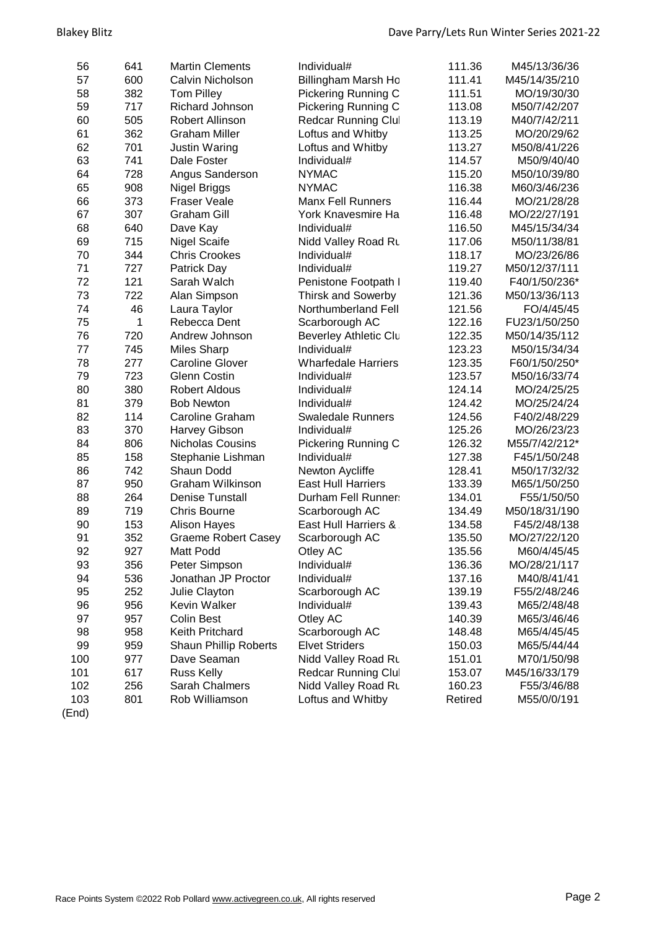| 56  | 641 | <b>Martin Clements</b>       | Individual#                | 111.36  | M45/13/36/36  |
|-----|-----|------------------------------|----------------------------|---------|---------------|
| 57  | 600 | Calvin Nicholson             | Billingham Marsh Ho        | 111.41  | M45/14/35/210 |
| 58  | 382 | <b>Tom Pilley</b>            | Pickering Running C        | 111.51  | MO/19/30/30   |
| 59  | 717 | Richard Johnson              | Pickering Running C        | 113.08  | M50/7/42/207  |
| 60  | 505 | Robert Allinson              | <b>Redcar Running Clul</b> | 113.19  | M40/7/42/211  |
| 61  | 362 | <b>Graham Miller</b>         | Loftus and Whitby          | 113.25  | MO/20/29/62   |
| 62  | 701 | <b>Justin Waring</b>         | Loftus and Whitby          | 113.27  | M50/8/41/226  |
| 63  | 741 | Dale Foster                  | Individual#                | 114.57  | M50/9/40/40   |
| 64  | 728 | Angus Sanderson              | <b>NYMAC</b>               | 115.20  | M50/10/39/80  |
| 65  | 908 | Nigel Briggs                 | <b>NYMAC</b>               | 116.38  | M60/3/46/236  |
| 66  | 373 | <b>Fraser Veale</b>          | <b>Manx Fell Runners</b>   | 116.44  | MO/21/28/28   |
| 67  | 307 | <b>Graham Gill</b>           | York Knavesmire Ha         | 116.48  | MO/22/27/191  |
| 68  | 640 | Dave Kay                     | Individual#                | 116.50  | M45/15/34/34  |
| 69  | 715 | <b>Nigel Scaife</b>          | Nidd Valley Road Ru        | 117.06  | M50/11/38/81  |
| 70  | 344 | <b>Chris Crookes</b>         | Individual#                | 118.17  | MO/23/26/86   |
| 71  | 727 | Patrick Day                  | Individual#                | 119.27  | M50/12/37/111 |
| 72  | 121 | Sarah Walch                  | Penistone Footpath I       | 119.40  | F40/1/50/236* |
| 73  | 722 | Alan Simpson                 | <b>Thirsk and Sowerby</b>  | 121.36  | M50/13/36/113 |
| 74  | 46  | Laura Taylor                 | Northumberland Fell        | 121.56  | FO/4/45/45    |
| 75  | 1   | Rebecca Dent                 | Scarborough AC             | 122.16  | FU23/1/50/250 |
| 76  | 720 | Andrew Johnson               | Beverley Athletic Clu      | 122.35  | M50/14/35/112 |
| 77  | 745 | <b>Miles Sharp</b>           | Individual#                | 123.23  | M50/15/34/34  |
| 78  | 277 | <b>Caroline Glover</b>       | <b>Wharfedale Harriers</b> | 123.35  | F60/1/50/250* |
| 79  | 723 | <b>Glenn Costin</b>          | Individual#                | 123.57  | M50/16/33/74  |
| 80  | 380 | <b>Robert Aldous</b>         | Individual#                | 124.14  | MO/24/25/25   |
| 81  | 379 | <b>Bob Newton</b>            | Individual#                | 124.42  | MO/25/24/24   |
| 82  | 114 | Caroline Graham              | <b>Swaledale Runners</b>   | 124.56  | F40/2/48/229  |
| 83  | 370 | Harvey Gibson                | Individual#                | 125.26  | MO/26/23/23   |
| 84  | 806 | Nicholas Cousins             | Pickering Running C        | 126.32  | M55/7/42/212* |
| 85  | 158 | Stephanie Lishman            | Individual#                | 127.38  | F45/1/50/248  |
| 86  | 742 | Shaun Dodd                   | Newton Aycliffe            | 128.41  | M50/17/32/32  |
| 87  | 950 | <b>Graham Wilkinson</b>      | <b>East Hull Harriers</b>  | 133.39  | M65/1/50/250  |
| 88  | 264 | <b>Denise Tunstall</b>       | Durham Fell Runner:        | 134.01  | F55/1/50/50   |
| 89  | 719 | <b>Chris Bourne</b>          | Scarborough AC             | 134.49  | M50/18/31/190 |
| 90  | 153 | <b>Alison Hayes</b>          | East Hull Harriers &       | 134.58  | F45/2/48/138  |
| 91  | 352 | <b>Graeme Robert Casey</b>   | Scarborough AC             | 135.50  | MO/27/22/120  |
| 92  | 927 | Matt Podd                    | Otley AC                   | 135.56  | M60/4/45/45   |
| 93  | 356 | Peter Simpson                | Individual#                | 136.36  | MO/28/21/117  |
| 94  | 536 | Jonathan JP Proctor          | Individual#                | 137.16  | M40/8/41/41   |
| 95  | 252 | Julie Clayton                | Scarborough AC             | 139.19  | F55/2/48/246  |
| 96  | 956 | Kevin Walker                 | Individual#                | 139.43  | M65/2/48/48   |
| 97  | 957 | <b>Colin Best</b>            | Otley AC                   | 140.39  | M65/3/46/46   |
| 98  | 958 | Keith Pritchard              | Scarborough AC             | 148.48  | M65/4/45/45   |
| 99  | 959 | <b>Shaun Phillip Roberts</b> | <b>Elvet Striders</b>      | 150.03  | M65/5/44/44   |
| 100 | 977 | Dave Seaman                  | Nidd Valley Road Ru        | 151.01  | M70/1/50/98   |
| 101 | 617 | <b>Russ Kelly</b>            | <b>Redcar Running Clul</b> | 153.07  | M45/16/33/179 |
| 102 | 256 | Sarah Chalmers               | Nidd Valley Road Ru        | 160.23  | F55/3/46/88   |
| 103 | 801 | Rob Williamson               | Loftus and Whitby          | Retired | M55/0/0/191   |
|     |     |                              |                            |         |               |

(End)